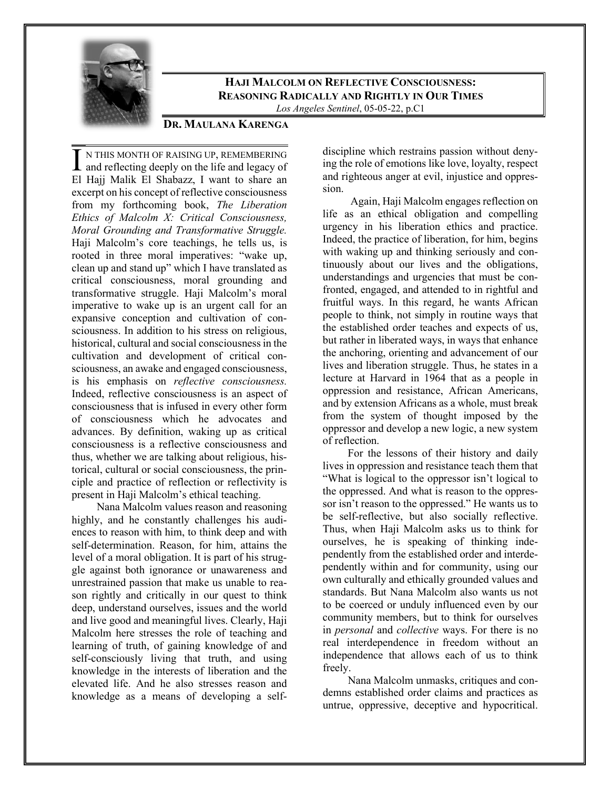

**HAJI MALCOLM ON REFLECTIVE CONSCIOUSNESS: REASONING RADICALLY AND RIGHTLY IN OUR TIMES** *Los Angeles Sentinel*, 05-05-22, p.C1

## **DR. MAULANA KARENGA**

N THIS MONTH OF RAISING UP, REMEMBERING I N THIS MONTH OF RAISING UP, REMEMBERING<br>and reflecting deeply on the life and legacy of El Hajj Malik El Shabazz, I want to share an excerpt on his concept of reflective consciousness from my forthcoming book, *The Liberation Ethics of Malcolm X: Critical Consciousness, Moral Grounding and Transformative Struggle.*  Haji Malcolm's core teachings, he tells us, is rooted in three moral imperatives: "wake up, clean up and stand up" which I have translated as critical consciousness, moral grounding and transformative struggle. Haji Malcolm's moral imperative to wake up is an urgent call for an expansive conception and cultivation of consciousness. In addition to his stress on religious, historical, cultural and social consciousness in the cultivation and development of critical consciousness, an awake and engaged consciousness, is his emphasis on *reflective consciousness.* Indeed, reflective consciousness is an aspect of consciousness that is infused in every other form of consciousness which he advocates and advances. By definition, waking up as critical consciousness is a reflective consciousness and thus, whether we are talking about religious, historical, cultural or social consciousness, the principle and practice of reflection or reflectivity is present in Haji Malcolm's ethical teaching.

Nana Malcolm values reason and reasoning highly, and he constantly challenges his audiences to reason with him, to think deep and with self-determination. Reason, for him, attains the level of a moral obligation. It is part of his struggle against both ignorance or unawareness and unrestrained passion that make us unable to reason rightly and critically in our quest to think deep, understand ourselves, issues and the world and live good and meaningful lives. Clearly, Haji Malcolm here stresses the role of teaching and learning of truth, of gaining knowledge of and self-consciously living that truth, and using knowledge in the interests of liberation and the elevated life. And he also stresses reason and knowledge as a means of developing a selfdiscipline which restrains passion without denying the role of emotions like love, loyalty, respect and righteous anger at evil, injustice and oppression.

Again, Haji Malcolm engages reflection on life as an ethical obligation and compelling urgency in his liberation ethics and practice. Indeed, the practice of liberation, for him, begins with waking up and thinking seriously and continuously about our lives and the obligations, understandings and urgencies that must be confronted, engaged, and attended to in rightful and fruitful ways. In this regard, he wants African people to think, not simply in routine ways that the established order teaches and expects of us, but rather in liberated ways, in ways that enhance the anchoring, orienting and advancement of our lives and liberation struggle. Thus, he states in a lecture at Harvard in 1964 that as a people in oppression and resistance, African Americans, and by extension Africans as a whole, must break from the system of thought imposed by the oppressor and develop a new logic, a new system of reflection.

For the lessons of their history and daily lives in oppression and resistance teach them that "What is logical to the oppressor isn't logical to the oppressed. And what is reason to the oppressor isn't reason to the oppressed." He wants us to be self-reflective, but also socially reflective. Thus, when Haji Malcolm asks us to think for ourselves, he is speaking of thinking independently from the established order and interdependently within and for community, using our own culturally and ethically grounded values and standards. But Nana Malcolm also wants us not to be coerced or unduly influenced even by our community members, but to think for ourselves in *personal* and *collective* ways. For there is no real interdependence in freedom without an independence that allows each of us to think freely.

Nana Malcolm unmasks, critiques and condemns established order claims and practices as untrue, oppressive, deceptive and hypocritical.